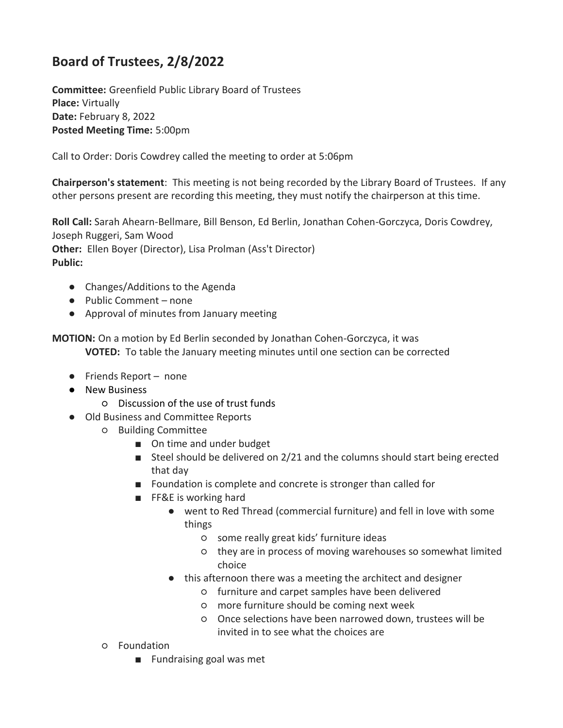## **Board of Trustees, 2/8/2022**

**Committee:** Greenfield Public Library Board of Trustees **Place:** Virtually **Date:** February 8, 2022 **Posted Meeting Time:** 5:00pm

Call to Order: Doris Cowdrey called the meeting to order at 5:06pm

**Chairperson's statement**: This meeting is not being recorded by the Library Board of Trustees. If any other persons present are recording this meeting, they must notify the chairperson at this time.

**Roll Call:** Sarah Ahearn-Bellmare, Bill Benson, Ed Berlin, Jonathan Cohen-Gorczyca, Doris Cowdrey, Joseph Ruggeri, Sam Wood **Other:** Ellen Boyer (Director), Lisa Prolman (Ass't Director) **Public:** 

- Changes/Additions to the Agenda
- Public Comment none
- Approval of minutes from January meeting

**MOTION:** On a motion by Ed Berlin seconded by Jonathan Cohen-Gorczyca, it was **VOTED:** To table the January meeting minutes until one section can be corrected

- Friends Report none
- New Business
	- Discussion of the use of trust funds
- Old Business and Committee Reports
	- Building Committee
		- On time and under budget
		- Steel should be delivered on 2/21 and the columns should start being erected that day
		- Foundation is complete and concrete is stronger than called for
		- FF&E is working hard
			- went to Red Thread (commercial furniture) and fell in love with some things
				- some really great kids' furniture ideas
				- they are in process of moving warehouses so somewhat limited choice
			- this afternoon there was a meeting the architect and designer
				- furniture and carpet samples have been delivered
				- more furniture should be coming next week
				- Once selections have been narrowed down, trustees will be invited in to see what the choices are
	- Foundation
		- Fundraising goal was met